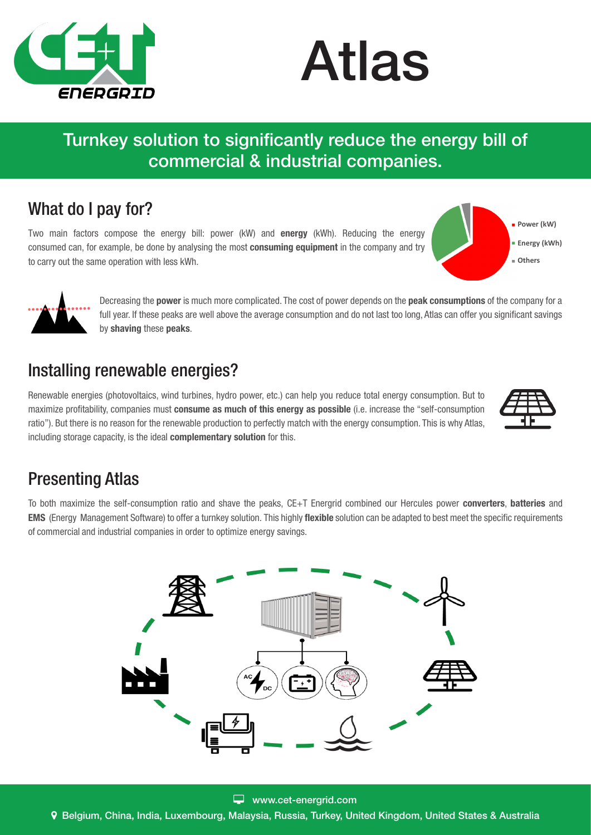



### Turnkey solution to significantly reduce the energy bill of commercial & industrial companies.

#### What do I pay for?

Two main factors compose the energy bill: power (kW) and energy (kWh). Reducing the energy consumed can, for example, be done by analysing the most **consuming equipment** in the company and try to carry out the same operation with less kWh.





Decreasing the **power** is much more complicated. The cost of power depends on the **peak consumptions** of the company for a full year. If these peaks are well above the average consumption and do not last too long, Atlas can offer you significant savings by shaving these peaks.

#### Installing renewable energies?

Renewable energies (photovoltaics, wind turbines, hydro power, etc.) can help you reduce total energy consumption. But to maximize profitability, companies must consume as much of this energy as possible (i.e. increase the "self-consumption ratio"). But there is no reason for the renewable production to perfectly match with the energy consumption. This is why Atlas, including storage capacity, is the ideal **complementary solution** for this.



#### Presenting Atlas

To both maximize the self-consumption ratio and shave the peaks, CE+T Energrid combined our Hercules power converters, batteries and **EMS** (Energy Management Software) to offer a turnkey solution. This highly flexible solution can be adapted to best meet the specific requirements of commercial and industrial companies in order to optimize energy savings.



Belgium, China, India, Luxembourg, Malaysia, Russia, Turkey, United Kingdom, United States & Australia